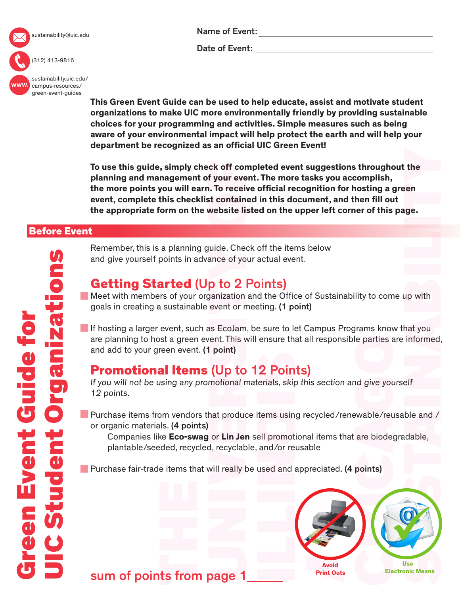

sustainability@uic.edu

Name of Event:

Date of Event:

(312) 413-9816

www. [sustainability.uic.edu/](https://sustainability.uic.edu/campus-resources/green-event-guides/) campus-resources/ green-event-guides

**This Green Event Guide can be used to help educate, assist and motivate student organizations to make UIC more environmentally friendly by providing sustainable choices for your programming and activities. Simple measures such as being aware of your environmental impact will help protect the earth and will help your department be recognized as an official UIC Green Event!** 

**To use this guide, simply check off completed event suggestions throughout the planning and management of your event. The more tasks you accomplish, the more points you will earn. To receive official recognition for hosting a green event, complete this checklist contained in this document, and then fill out the appropriate form on the website listed on the upper left corner of this page.**

#### Before Event

Remember, this is a planning guide. Check off the items below and give yourself points in advance of your actual event.

## Getting Started (Up to 2 Points)

Meet with members of your organization and the Office of Sustainability to come up with goals in creating a sustainable event or meeting. (1 point)

If hosting a larger event, such as EcoJam, be sure to let Campus Programs know that you are planning to host a green event. This will ensure that all responsible parties are informed, and add to your green event. (1 point)

## Promotional Items (Up to 12 Points)

If you will not be using any promotional materials, skip this section and give yourself 12 points.

Purchase items from vendors that produce items using recycled/renewable/reusable and / or organic materials. (4 points)

 Companies like **Eco-swag** or **Lin Jen** sell promotional items that are biodegradable, plantable/seeded, recycled, recyclable, and/or reusable

**Purchase fair-trade items that will really be used and appreciated. (4 points)** 



sum of points from page 1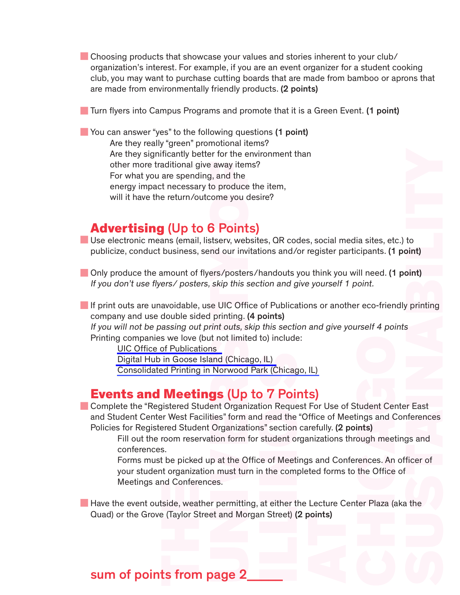Choosing products that showcase your values and stories inherent to your club/ organization's interest. For example, if you are an event organizer for a student cooking club, you may want to purchase cutting boards that are made from bamboo or aprons that are made from environmentally friendly products. (2 points)

**Turn flyers into Campus Programs and promote that it is a Green Event. (1 point)** 

**Produm** You can answer "yes" to the following questions (1 point) Are they really "green" promotional items? Are they significantly better for the environment than other more traditional give away items? For what you are spending, and the energy impact necessary to produce the item, will it have the return/outcome you desire?

#### Advertising (Up to 6 Points)

Use electronic means (email, listserv, websites,  $QR$  codes, social media sites, etc.) to publicize, conduct business, send our invitations and/or register participants. (1 point)

Only produce the amount of flyers/posters/handouts you think you will need. (1 point) If you don't use flyers/ posters, skip this section and give yourself 1 point.

If print outs are unavoidable, use UIC Office of Publications or another eco-friendly printing company and use double sided printing. (4 points)

If you will not be passing out print outs, skip this section and give yourself 4 points Printing companies we love (but not limited to) include:

[UIC Office of Publications](http://www.uic.edu/depts/publications/)

[Digital Hub in Goose Island \(Chicago, IL\)](http://digitalhubchicago.com)

[Consolidated Printing in Norwood Park \(Chicago, IL\)](http://www.consolidatedprinting.net/Pages/About+Us)

#### Events and Meetings (Up to 7 Points)

to<br>bint)<br>oint)<br>s<br>s<br>ar East<br>firences<br>gs and<br>ficer of<br>a **Complete the "Registered Student Organization Request For Use of Student Center East** and Student Center West Facilities" form and read the "Office of Meetings and Conferences Policies for Registered Student Organizations" section carefully. (2 points)

Fill out the room reservation form for student organizations through meetings and conferences.

Forms must be picked up at the Office of Meetings and Conferences. An officer of your student organization must turn in the completed forms to the Office of Meetings and Conferences.

**Have the event outside, weather permitting, at either the Lecture Center Plaza (aka the** Quad) or the Grove (Taylor Street and Morgan Street) (2 points)

#### sum of points from page 2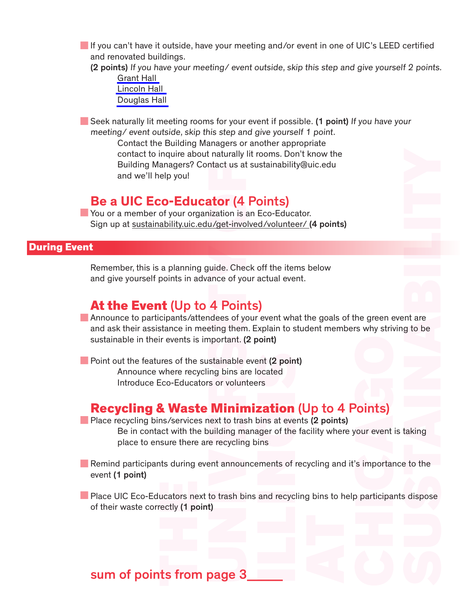If you can't have it outside, have your meeting and/or event in one of UIC's LEED certified and renovated buildings.

(2 points) If you have your meeting/ event outside, skip this step and give yourself 2 points. [Grant Hall](https://accc.uic.edu/building/grant-hall)

[Lincoln Hall](https://accc.uic.edu/building/lincoln-hall) [Douglas Hall](https://accc.uic.edu/building/douglas-hall)

Seek naturally lit meeting rooms for your event if possible. (1 point) If you have your meeting/ event outside, skip this step and give yourself 1 point.

Contact the Building Managers or another appropriate contact to inquire about naturally lit rooms. Don't know the Building Managers? Contact us at sustainability@uic.edu and we'll help you!

#### **Be a UIC Eco-Educator** (4 Points)

You or a member of your organization is an Eco-Educator. Sign up at<sustainability.uic.edu/get-involved/volunteer/>(4 points)

#### During Event

Remember, this is a planning guide. Check off the items below and give yourself points in advance of your actual event.

#### At the Event (Up to 4 Points)

ent are g to be taking a to the sidispose Announce to participants/attendees of your event what the goals of the green event are and ask their assistance in meeting them. Explain to student members why striving to be sustainable in their events is important. (2 point)

**Point out the features of the sustainable event (2 point)** Announce where recycling bins are located Introduce Eco-Educators or volunteers

#### Recycling & Waste Minimization (Up to 4 Points)

**Place recycling bins/services next to trash bins at events (2 points)** 

Be in contact with the building manager of the facility where your event is taking place to ensure there are recycling bins

**Remind participants during event announcements of recycling and it's importance to the** event (1 point)

**Place UIC Eco-Educators next to trash bins and recycling bins to help participants dispose** of their waste correctly (1 point)

## sum of points from page 3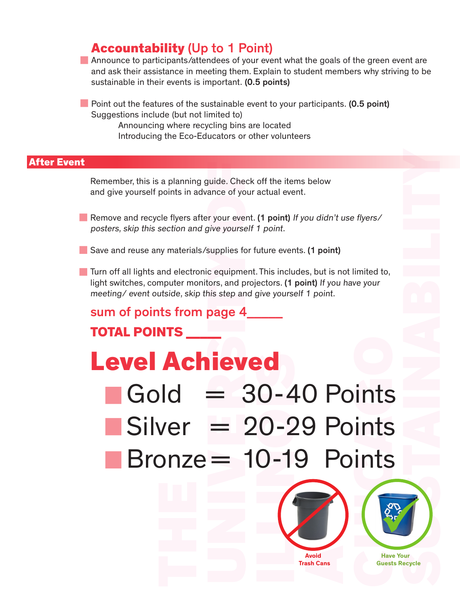#### Accountability (Up to 1 Point)

Announce to participants/attendees of your event what the goals of the green event are and ask their assistance in meeting them. Explain to student members why striving to be sustainable in their events is important. (0.5 points)

**Point out the features of the sustainable event to your participants. (0.5 point)** Suggestions include (but not limited to) Announcing where recycling bins are located Introducing the Eco-Educators or other volunteers

#### After Event

Remember, this is a planning guide. Check off the items below and give yourself points in advance of your actual event.

- Remove and recycle flyers after your event. (1 point) If you didn't use flyers/ posters, skip this section and give yourself 1 point.
- Save and reuse any materials/supplies for future events. (1 point)
- **Turn off all lights and electronic equipment. This includes, but is not limited to,** light switches, computer monitors, and projectors. (1 point) If you have your meeting/ event outside, skip this step and give yourself 1 point.

# sum of points from page 4\_\_\_\_\_

# TOTAL POINTS \_\_\_\_\_

# Level Achieved

- $Gold = 30 40$  Points  $Silver = 20-29$  Points Bronze = 10-19 Points
- SUSTAINABILITY  **Have Your Guests Recycle Avoid Trash Cans**